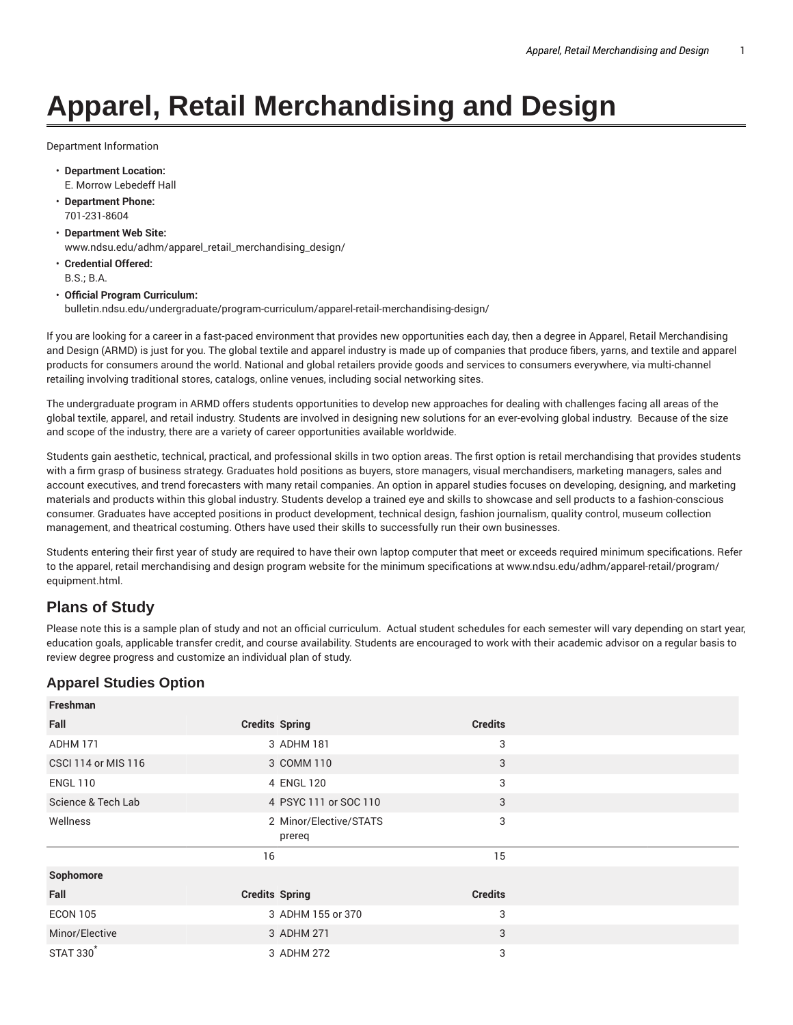# **Apparel, Retail Merchandising and Design**

Department Information

- **Department Location:** E. Morrow Lebedeff Hall
- **Department Phone:** 701-231-8604
- **Department Web Site:** www.ndsu.edu/adhm/apparel\_retail\_merchandising\_design/
- **Credential Offered:** B.S.; B.A.

#### • **Official Program Curriculum:**

bulletin.ndsu.edu/undergraduate/program-curriculum/apparel-retail-merchandising-design/

If you are looking for a career in a fast-paced environment that provides new opportunities each day, then a degree in Apparel, Retail Merchandising and Design (ARMD) is just for you. The global textile and apparel industry is made up of companies that produce fibers, yarns, and textile and apparel products for consumers around the world. National and global retailers provide goods and services to consumers everywhere, via multi-channel retailing involving traditional stores, catalogs, online venues, including social networking sites.

The undergraduate program in ARMD offers students opportunities to develop new approaches for dealing with challenges facing all areas of the global textile, apparel, and retail industry. Students are involved in designing new solutions for an ever-evolving global industry. Because of the size and scope of the industry, there are a variety of career opportunities available worldwide.

Students gain aesthetic, technical, practical, and professional skills in two option areas. The first option is retail merchandising that provides students with a firm grasp of business strategy. Graduates hold positions as buyers, store managers, visual merchandisers, marketing managers, sales and account executives, and trend forecasters with many retail companies. An option in apparel studies focuses on developing, designing, and marketing materials and products within this global industry. Students develop a trained eye and skills to showcase and sell products to a fashion-conscious consumer. Graduates have accepted positions in product development, technical design, fashion journalism, quality control, museum collection management, and theatrical costuming. Others have used their skills to successfully run their own businesses.

Students entering their first year of study are required to have their own laptop computer that meet or exceeds required minimum specifications. Refer to the apparel, retail merchandising and design program website for the minimum specifications at www.ndsu.edu/adhm/apparel-retail/program/ equipment.html.

## **Plans of Study**

**Freshman**

Please note this is a sample plan of study and not an official curriculum. Actual student schedules for each semester will vary depending on start year, education goals, applicable transfer credit, and course availability. Students are encouraged to work with their academic advisor on a regular basis to review degree progress and customize an individual plan of study.

## **Apparel Studies Option**

| <b>Freshman</b>            |                                  |                |  |
|----------------------------|----------------------------------|----------------|--|
| Fall                       | <b>Credits Spring</b>            | <b>Credits</b> |  |
| ADHM 171                   | 3 ADHM 181                       | 3              |  |
| <b>CSCI 114 or MIS 116</b> | 3 COMM 110                       | 3              |  |
| <b>ENGL 110</b>            | 4 ENGL 120                       | 3              |  |
| Science & Tech Lab         | 4 PSYC 111 or SOC 110            | 3              |  |
| Wellness                   | 2 Minor/Elective/STATS<br>prereq | 3              |  |
|                            | 16                               | 15             |  |
|                            |                                  |                |  |
| Sophomore                  |                                  |                |  |
| Fall                       | <b>Credits Spring</b>            | <b>Credits</b> |  |
| <b>ECON 105</b>            | 3 ADHM 155 or 370                | 3              |  |
| Minor/Elective             | 3 ADHM 271                       | 3              |  |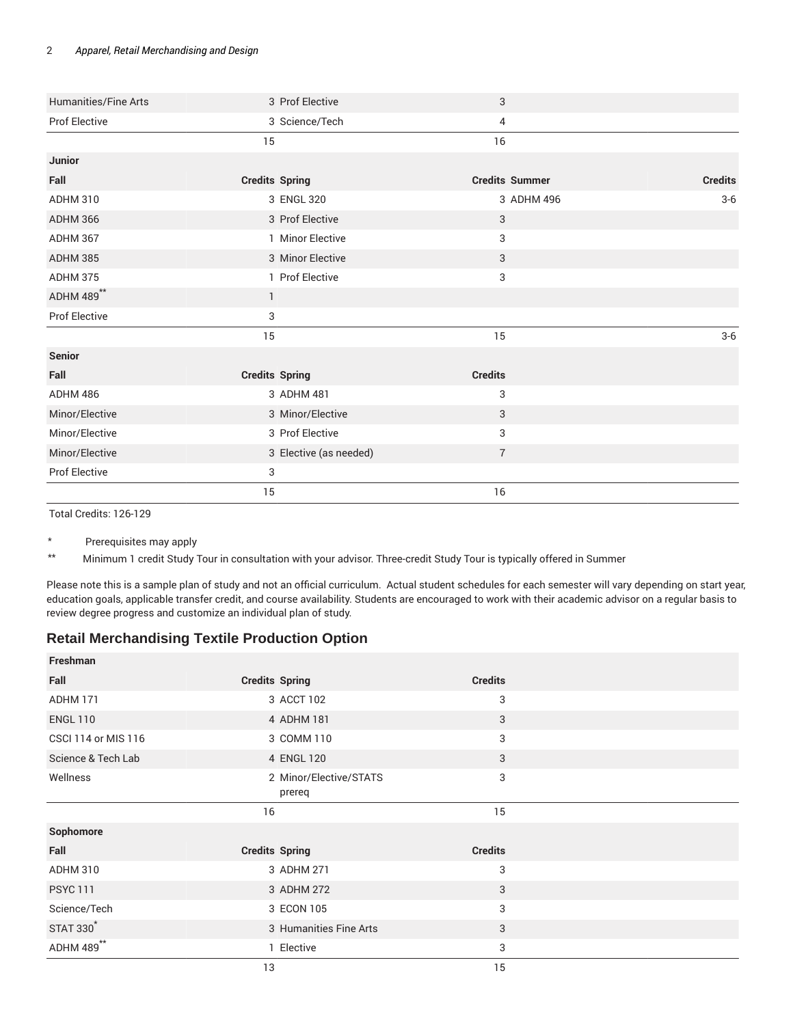#### 2 *Apparel, Retail Merchandising and Design*

| Humanities/Fine Arts | 3 Prof Elective        | 3                     |                |
|----------------------|------------------------|-----------------------|----------------|
| Prof Elective        | 3 Science/Tech         | 4                     |                |
|                      | 15                     | 16                    |                |
| Junior               |                        |                       |                |
| Fall                 | <b>Credits Spring</b>  | <b>Credits Summer</b> | <b>Credits</b> |
| <b>ADHM 310</b>      | 3 ENGL 320             | 3 ADHM 496            | $3-6$          |
| ADHM 366             | 3 Prof Elective        | 3                     |                |
| ADHM 367             | 1 Minor Elective       | 3                     |                |
| <b>ADHM 385</b>      | 3 Minor Elective       | 3                     |                |
| <b>ADHM 375</b>      | 1 Prof Elective        | 3                     |                |
| ADHM 489**           | $\mathbf{1}$           |                       |                |
| Prof Elective        | 3                      |                       |                |
|                      | 15                     | 15                    | $3-6$          |
| Senior               |                        |                       |                |
| Fall                 | <b>Credits Spring</b>  | <b>Credits</b>        |                |
| ADHM 486             | 3 ADHM 481             | 3                     |                |
| Minor/Elective       | 3 Minor/Elective       | 3                     |                |
| Minor/Elective       | 3 Prof Elective        | 3                     |                |
| Minor/Elective       | 3 Elective (as needed) | $\overline{7}$        |                |
| Prof Elective        | 3                      |                       |                |
|                      | 15                     | 16                    |                |

Total Credits: 126-129

\* Prerequisites may apply

\*\* Minimum 1 credit Study Tour in consultation with your advisor. Three-credit Study Tour is typically offered in Summer

Please note this is a sample plan of study and not an official curriculum. Actual student schedules for each semester will vary depending on start year, education goals, applicable transfer credit, and course availability. Students are encouraged to work with their academic advisor on a regular basis to review degree progress and customize an individual plan of study.

### **Retail Merchandising Textile Production Option**

| <b>Freshman</b>            |                                  |                |  |
|----------------------------|----------------------------------|----------------|--|
| Fall                       | <b>Credits Spring</b>            | <b>Credits</b> |  |
| ADHM 171                   | 3 ACCT 102                       | 3              |  |
| <b>ENGL 110</b>            | 4 ADHM 181                       | 3              |  |
| <b>CSCI 114 or MIS 116</b> | 3 COMM 110                       | 3              |  |
| Science & Tech Lab         | 4 ENGL 120                       | 3              |  |
| Wellness                   | 2 Minor/Elective/STATS<br>prereq | 3              |  |
|                            | 16                               | 15             |  |
| Sophomore                  |                                  |                |  |
| Fall                       | <b>Credits Spring</b>            | <b>Credits</b> |  |
| ADHM 310                   | 3 ADHM 271                       | 3              |  |
| <b>PSYC 111</b>            | 3 ADHM 272                       | 3              |  |
| Science/Tech               | 3 ECON 105                       | 3              |  |
| <b>STAT 330</b>            | 3 Humanities Fine Arts           | 3              |  |
| ADHM 489**                 | 1 Elective                       | 3              |  |
|                            | 13                               | 15             |  |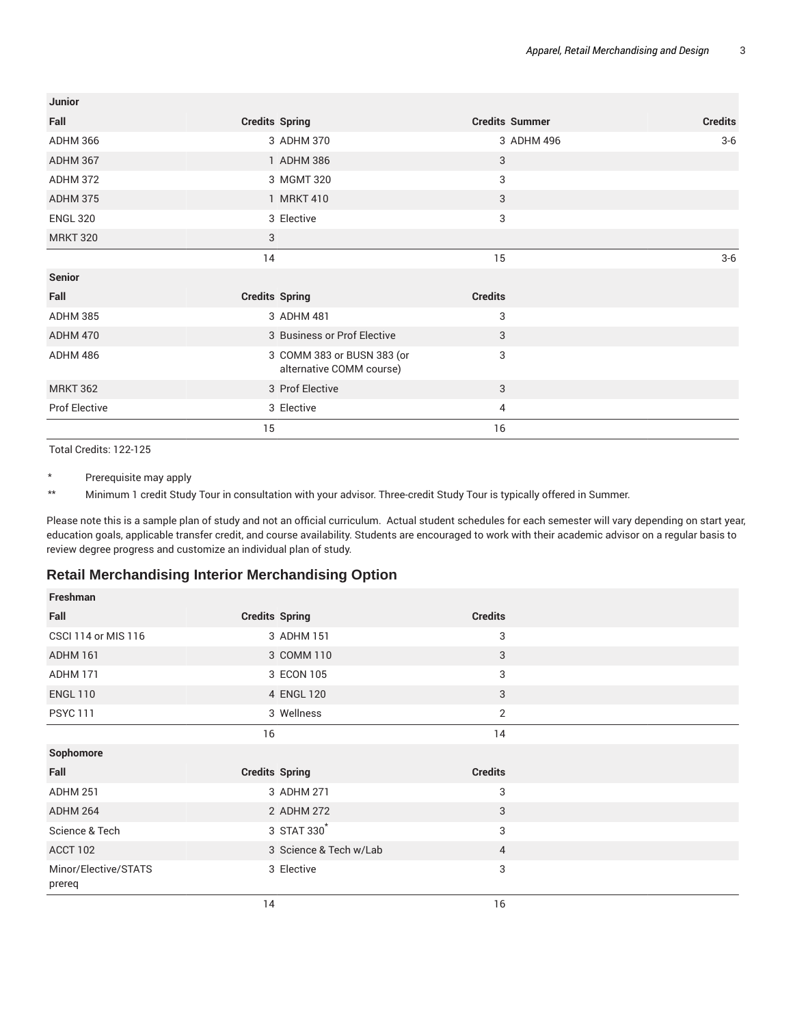| Junior               |                                                        |                       |                |
|----------------------|--------------------------------------------------------|-----------------------|----------------|
| Fall                 | <b>Credits Spring</b>                                  | <b>Credits Summer</b> | <b>Credits</b> |
| ADHM 366             | 3 ADHM 370                                             | 3 ADHM 496            | $3-6$          |
| ADHM 367             | 1 ADHM 386                                             | 3                     |                |
| ADHM 372             | 3 MGMT 320                                             | 3                     |                |
| ADHM 375             | 1 MRKT 410                                             | 3                     |                |
| <b>ENGL 320</b>      | 3 Elective                                             | 3                     |                |
| <b>MRKT 320</b>      | 3                                                      |                       |                |
|                      | 14                                                     | 15                    | $3-6$          |
| <b>Senior</b>        |                                                        |                       |                |
| Fall                 | <b>Credits Spring</b>                                  | <b>Credits</b>        |                |
| ADHM 385             | 3 ADHM 481                                             | 3                     |                |
| ADHM 470             | 3 Business or Prof Elective                            | 3                     |                |
| ADHM 486             | 3 COMM 383 or BUSN 383 (or<br>alternative COMM course) | 3                     |                |
| <b>MRKT 362</b>      | 3 Prof Elective                                        | 3                     |                |
| <b>Prof Elective</b> | 3 Elective                                             | 4                     |                |
|                      | 15                                                     | 16                    |                |

Total Credits: 122-125

\* Prerequisite may apply

\*\* Minimum 1 credit Study Tour in consultation with your advisor. Three-credit Study Tour is typically offered in Summer.

Please note this is a sample plan of study and not an official curriculum. Actual student schedules for each semester will vary depending on start year, education goals, applicable transfer credit, and course availability. Students are encouraged to work with their academic advisor on a regular basis to review degree progress and customize an individual plan of study.

#### **Retail Merchandising Interior Merchandising Option**

| Freshman                       |                        |                |  |
|--------------------------------|------------------------|----------------|--|
| Fall                           | <b>Credits Spring</b>  | <b>Credits</b> |  |
| <b>CSCI 114 or MIS 116</b>     | 3 ADHM 151             | 3              |  |
| ADHM 161                       | 3 COMM 110             | 3              |  |
| ADHM 171                       | 3 ECON 105             | 3              |  |
| <b>ENGL 110</b>                | 4 ENGL 120             | 3              |  |
| <b>PSYC 111</b>                | 3 Wellness             | 2              |  |
|                                | 16                     | 14             |  |
| Sophomore                      |                        |                |  |
| Fall                           | <b>Credits Spring</b>  | <b>Credits</b> |  |
| <b>ADHM 251</b>                | 3 ADHM 271             | 3              |  |
| ADHM 264                       | 2 ADHM 272             | 3              |  |
| Science & Tech                 | 3 STAT 330             | 3              |  |
| ACCT 102                       | 3 Science & Tech w/Lab | 4              |  |
| Minor/Elective/STATS<br>prereq | 3 Elective             | 3              |  |
|                                | 14                     | 16             |  |